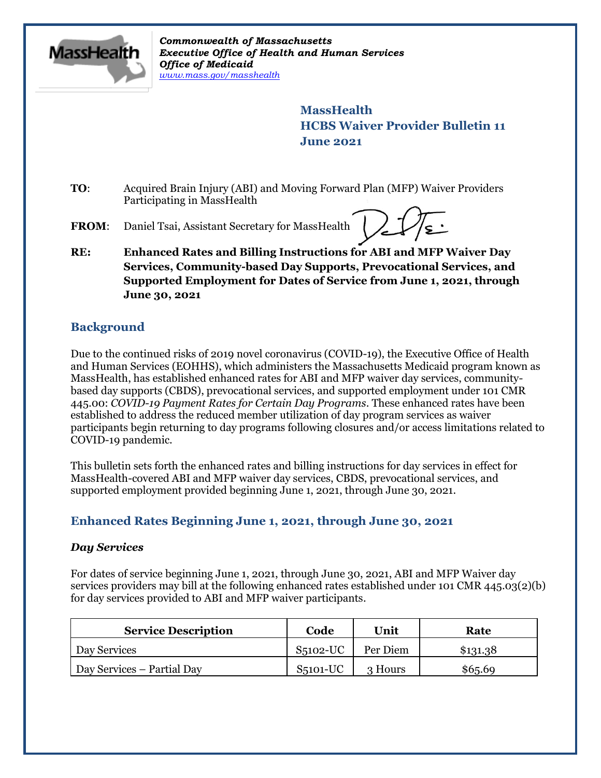

*Commonwealth of Massachusetts Executive Office of Health and Human Services Office of Medicaid [www.mass.gov/masshealth](http://www.mass.gov/masshealth)*

> **MassHealth HCBS Waiver Provider Bulletin 11 June 2021**

- **TO**: Acquired Brain Injury (ABI) and Moving Forward Plan (MFP) Waiver Providers Participating in MassHealth
- **FROM**: Daniel Tsai, Assistant Secretary for MassHealth

**RE: Enhanced Rates and Billing Instructions for ABI and MFP Waiver Day Services, Community-based Day Supports, Prevocational Services, and Supported Employment for Dates of Service from June 1, 2021, through June 30, 2021**

# **Background**

Due to the continued risks of 2019 novel coronavirus (COVID-19), the Executive Office of Health and Human Services (EOHHS), which administers the Massachusetts Medicaid program known as MassHealth, has established enhanced rates for ABI and MFP waiver day services, communitybased day supports (CBDS), prevocational services, and supported employment under 101 CMR 445.00: *COVID-19 Payment Rates for Certain Day Programs*. These enhanced rates have been established to address the reduced member utilization of day program services as waiver participants begin returning to day programs following closures and/or access limitations related to COVID-19 pandemic.

This bulletin sets forth the enhanced rates and billing instructions for day services in effect for MassHealth-covered ABI and MFP waiver day services, CBDS, prevocational services, and supported employment provided beginning June 1, 2021, through June 30, 2021.

## **Enhanced Rates Beginning June 1, 2021, through June 30, 2021**

## *Day Services*

For dates of service beginning June 1, 2021, through June 30, 2021, ABI and MFP Waiver day services providers may bill at the following enhanced rates established under 101 CMR 445.03(2)(b) for day services provided to ABI and MFP waiver participants.

| <b>Service Description</b> | Code       | Unit     | Rate     |
|----------------------------|------------|----------|----------|
| Day Services               | S5102-UC   | Per Diem | \$131.38 |
| Day Services – Partial Day | $S5101-UC$ | 3 Hours  | \$65.69  |